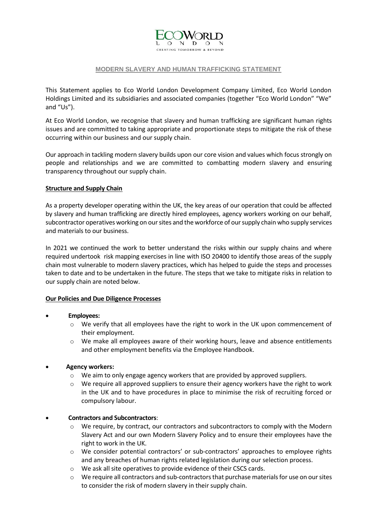

### **MODERN SLAVERY AND HUMAN TRAFFICKING STATEMENT**

This Statement applies to Eco World London Development Company Limited, Eco World London Holdings Limited and its subsidiaries and associated companies (together "Eco World London" "We" and "Us").

At Eco World London, we recognise that slavery and human trafficking are significant human rights issues and are committed to taking appropriate and proportionate steps to mitigate the risk of these occurring within our business and our supply chain.

Our approach in tackling modern slavery builds upon our core vision and values which focus strongly on people and relationships and we are committed to combatting modern slavery and ensuring transparency throughout our supply chain.

#### **Structure and Supply Chain**

As a property developer operating within the UK, the key areas of our operation that could be affected by slavery and human trafficking are directly hired employees, agency workers working on our behalf, subcontractor operatives working on our sites and the workforce of our supply chain who supply services and materials to our business.

In 2021 we continued the work to better understand the risks within our supply chains and where required undertook risk mapping exercises in line with ISO 20400 to identify those areas of the supply chain most vulnerable to modern slavery practices, which has helped to guide the steps and processes taken to date and to be undertaken in the future. The steps that we take to mitigate risks in relation to our supply chain are noted below.

# **Our Policies and Due Diligence Processes**

# • **Employees:**

- $\circ$  We verify that all employees have the right to work in the UK upon commencement of their employment.
- $\circ$  We make all employees aware of their working hours, leave and absence entitlements and other employment benefits via the Employee Handbook.

# • **Agency workers:**

- o We aim to only engage agency workers that are provided by approved suppliers.
- $\circ$  We require all approved suppliers to ensure their agency workers have the right to work in the UK and to have procedures in place to minimise the risk of recruiting forced or compulsory labour.

# • **Contractors and Subcontractors**:

- $\circ$  We require, by contract, our contractors and subcontractors to comply with the Modern Slavery Act and our own Modern Slavery Policy and to ensure their employees have the right to work in the UK.
- o We consider potential contractors' or sub-contractors' approaches to employee rights and any breaches of human rights related legislation during our selection process.
- o We ask all site operatives to provide evidence of their CSCS cards.
- $\circ$  We require all contractors and sub-contractors that purchase materials for use on our sites to consider the risk of modern slavery in their supply chain.